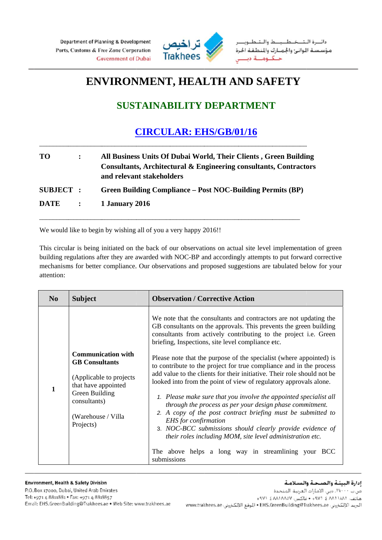

## **ENVIRONMENT, HEALTH AND SAFETY**

## **SUSTAINABILITY DEPARTMENT**

## **CIRCULAR: EHS/GB/01/16**

| TO.              |                   | All Business Units Of Dubai World, Their Clients, Green Building<br>Consultants, Architectural & Engineering consultants, Contractors<br>and relevant stakeholders |
|------------------|-------------------|--------------------------------------------------------------------------------------------------------------------------------------------------------------------|
| <b>SUBJECT :</b> |                   | <b>Green Building Compliance – Post NOC-Building Permits (BP)</b>                                                                                                  |
| <b>DATE</b>      | $\sim$ 100 $\sim$ | 1 January 2016                                                                                                                                                     |

We would like to begin by wishing all of you a very happy 2016!!

This circular is being initiated on the back of our observations on actual site level implementation of green building regulations after they are awarded with NOC-BP and accordingly attempts to put forward corrective mechanisms for better compliance. Our observations and proposed suggestions are tabulated below for your attention:

| N <sub>0</sub> | <b>Subject</b>                                                                                                                                                             | <b>Observation / Corrective Action</b>                                                                                                                                                                                                                                                                                                                                                                                                                                                                                                                                                                                                                                                                                                                                                                                                                                                                                                                                  |
|----------------|----------------------------------------------------------------------------------------------------------------------------------------------------------------------------|-------------------------------------------------------------------------------------------------------------------------------------------------------------------------------------------------------------------------------------------------------------------------------------------------------------------------------------------------------------------------------------------------------------------------------------------------------------------------------------------------------------------------------------------------------------------------------------------------------------------------------------------------------------------------------------------------------------------------------------------------------------------------------------------------------------------------------------------------------------------------------------------------------------------------------------------------------------------------|
|                | <b>Communication with</b><br><b>GB</b> Consultants<br>(Applicable to projects)<br>that have appointed<br>Green Building<br>consultants)<br>(Warehouse / Villa<br>Projects) | We note that the consultants and contractors are not updating the<br>GB consultants on the approvals. This prevents the green building<br>consultants from actively contributing to the project i.e. Green<br>briefing, Inspections, site level compliance etc.<br>Please note that the purpose of the specialist (where appointed) is<br>to contribute to the project for true compliance and in the process<br>add value to the clients for their initiative. Their role should not be<br>looked into from the point of view of regulatory approvals alone.<br>1. Please make sure that you involve the appointed specialist all<br>through the process as per your design phase commitment.<br>2. A copy of the post contract briefing must be submitted to<br>EHS for confirmation<br>3. NOC-BCC submissions should clearly provide evidence of<br>their roles including MOM, site level administration etc.<br>The above helps a long way in streamlining your BCC |
|                |                                                                                                                                                                            | submissions                                                                                                                                                                                                                                                                                                                                                                                                                                                                                                                                                                                                                                                                                                                                                                                                                                                                                                                                                             |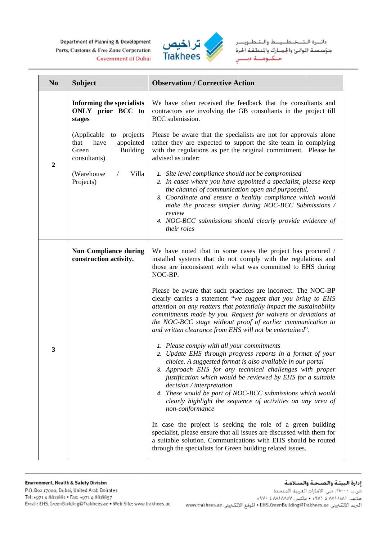Department of Planning & Development Ports, Customs & Free Zone Corporation **Government of Dubai** 



دائــرة الـتــخـطـــيــط والـتـطــويــ مؤسسة الوانئ واجمارك والنطقة الحرة حنكنومينة دينيس

| N <sub>0</sub>   | <b>Subject</b>                                                                                      | <b>Observation / Corrective Action</b>                                                                                                                                                                                                                                                                                                                                                                                                                                        |
|------------------|-----------------------------------------------------------------------------------------------------|-------------------------------------------------------------------------------------------------------------------------------------------------------------------------------------------------------------------------------------------------------------------------------------------------------------------------------------------------------------------------------------------------------------------------------------------------------------------------------|
|                  | <b>Informing the specialists</b><br>ONLY prior BCC to<br>stages                                     | We have often received the feedback that the consultants and<br>contractors are involving the GB consultants in the project till<br>BCC submission.                                                                                                                                                                                                                                                                                                                           |
| $\boldsymbol{2}$ | (Applicable<br>to projects<br>have<br>appointed<br>that<br><b>Building</b><br>Green<br>consultants) | Please be aware that the specialists are not for approvals alone<br>rather they are expected to support the site team in complying<br>with the regulations as per the original commitment. Please be<br>advised as under:                                                                                                                                                                                                                                                     |
|                  | (Warehouse)<br>Villa<br>Projects)                                                                   | 1. Site level compliance should not be compromised<br>2. In cases where you have appointed a specialist, please keep<br>the channel of communication open and purposeful.<br>3. Coordinate and ensure a healthy compliance which would<br>make the process simpler during NOC-BCC Submissions /<br>review<br>4. NOC-BCC submissions should clearly provide evidence of<br>their roles                                                                                         |
|                  | <b>Non Compliance during</b><br>construction activity.                                              | We have noted that in some cases the project has procured /<br>installed systems that do not comply with the regulations and<br>those are inconsistent with what was committed to EHS during<br>NOC-BP.                                                                                                                                                                                                                                                                       |
|                  |                                                                                                     | Please be aware that such practices are incorrect. The NOC-BP<br>clearly carries a statement "we suggest that you bring to EHS<br>attention on any matters that potentially impact the sustainability<br>commitments made by you. Request for waivers or deviations at<br>the NOC-BCC stage without proof of earlier communication to<br>and written clearance from EHS will not be entertained".                                                                             |
| 3                |                                                                                                     | 1. Please comply with all your commitments<br>2. Update EHS through progress reports in a format of your<br>choice. A suggested format is also available in our portal<br>3. Approach EHS for any technical challenges with proper<br>justification which would be reviewed by EHS for a suitable<br>decision / interpretation<br>4. These would be part of NOC-BCC submissions which would<br>clearly highlight the sequence of activities on any area of<br>non-conformance |
|                  |                                                                                                     | In case the project is seeking the role of a green building<br>specialist, please ensure that all issues are discussed with them for<br>a suitable solution. Communications with EHS should be routed<br>through the specialists for Green building related issues.                                                                                                                                                                                                           |